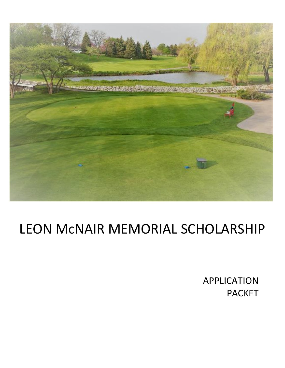

## LEON McNAIR MEMORIAL SCHOLARSHIP

APPLICATION PACKET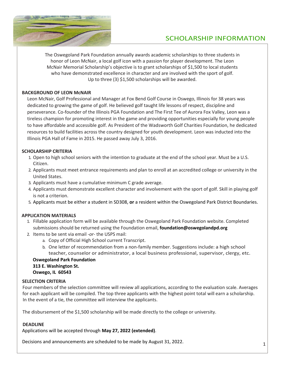

### SCHOLARSHIP INFORMATION

The Oswegoland Park Foundation annually awards academic scholarships to three students in honor of Leon McNair, a local golf icon with a passion for player development. The Leon McNair Memorial Scholarship's objective is to grant scholarships of \$1,500 to local students who have demonstrated excellence in character and are involved with the sport of golf. Up to three (3) \$1,500 scholarships will be awarded.

#### **BACKGROUND OF LEON McNAIR**

Leon McNair, Golf Professional and Manager at Fox Bend Golf Course in Oswego, Illinois for 38 years was dedicated to growing the game of golf. He believed golf taught life lessons of respect, discipline and perseverance. Co-founder of the Illinois PGA Foundation and The First Tee of Aurora Fox Valley, Leon was a tireless champion for promoting interest in the game and providing opportunities especially for young people to have affordable and accessible golf. As President of the Wadsworth Golf Charities Foundation, he dedicated resources to build facilities across the country designed for youth development. Leon was inducted into the Illinois PGA Hall of Fame in 2015. He passed away July 3, 2016.

#### **SCHOLARSHIP CRITERIA**

- 1. Open to high school seniors with the intention to graduate at the end of the school year. Must be a U.S. Citizen.
- 2. Applicants must meet entrance requirements and plan to enroll at an accredited college or university in the United States.
- 3. Applicants must have a cumulative minimum C grade average.
- 4. Applicants must demonstrate excellent character and involvement with the sport of golf. Skill in playing golf is not a criterion.
- 5. Applicants must be either a student in SD308, **or** a resident within the Oswegoland Park District Boundaries.

#### **APPLICATION MATERIALS**

- 1. Fillable application form will be available through the Oswegoland Park Foundation website. Completed submissions should be returned using the Foundation email, **foundation@oswegolandpd.org**
- 2. Items to be sent via email -*or* the USPS mail:
	- a. Copy of Official High School current Transcript.
	- b. One letter of recommendation from a non-family member. Suggestions include: a high school teacher, counselor or administrator, a local business professional, supervisor, clergy, etc.

#### **Oswegoland Park Foundation 313 E. Washington St. Oswego, IL 60543**

#### **SELECTION CRITERIA**

Four members of the selection committee will review all applications, according to the evaluation scale. Averages for each applicant will be compiled. The top three applicants with the highest point total will earn a scholarship. In the event of a tie, the committee will interview the applicants.

The disbursement of the \$1,500 scholarship will be made directly to the college or university.

#### **DEADLINE**

Applications will be accepted through **May 27, 2022 (extended)**.

Decisions and announcements are scheduled to be made by August 31, 2022.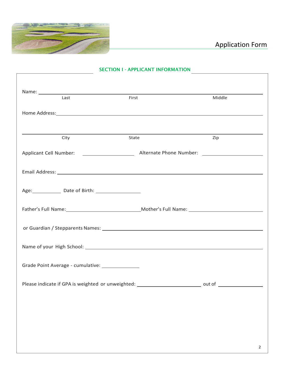

| Last                                                                                                                                                                                                                           | First | Middle |  |
|--------------------------------------------------------------------------------------------------------------------------------------------------------------------------------------------------------------------------------|-------|--------|--|
| Home Address: Note and the set of the set of the set of the set of the set of the set of the set of the set of the set of the set of the set of the set of the set of the set of the set of the set of the set of the set of t |       |        |  |
|                                                                                                                                                                                                                                |       |        |  |
| City                                                                                                                                                                                                                           | State | Zip    |  |
|                                                                                                                                                                                                                                |       |        |  |
|                                                                                                                                                                                                                                |       |        |  |
|                                                                                                                                                                                                                                |       |        |  |
| Age: Date of Birth: 1990                                                                                                                                                                                                       |       |        |  |
| Father's Full Name: Mother's Full Name: 1990 Mother's Full Name: 2008                                                                                                                                                          |       |        |  |
|                                                                                                                                                                                                                                |       |        |  |
|                                                                                                                                                                                                                                |       |        |  |
|                                                                                                                                                                                                                                |       |        |  |
| Grade Point Average - cumulative: ______________                                                                                                                                                                               |       |        |  |
| Please indicate if GPA is weighted or unweighted: _____________________________ out of _______________________                                                                                                                 |       |        |  |
|                                                                                                                                                                                                                                |       |        |  |
|                                                                                                                                                                                                                                |       |        |  |
|                                                                                                                                                                                                                                |       |        |  |
|                                                                                                                                                                                                                                |       |        |  |

#### SECTION I - APPLICANT INFORMATION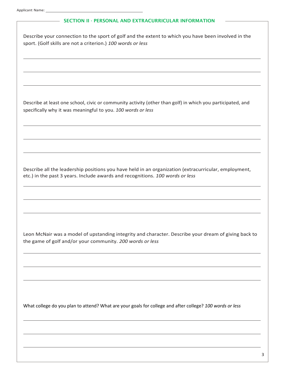# - SECTION II - PERSONAL AND EXTRACURRICULAR INFORMATION Describe your connection to the sport of golf and the extent to which you have been involved in the sport. (Golf skills are not a criterion.) *100 words or less* Describe at least one school, civic or community activity (other than golf) in which you participated, and specifically why it was meaningful to you. *100 words or less* Describe all the leadership positions you have held in an organization (extracurricular, employment, etc.) in the past 3 years. Include awards and recognitions. *100 words or less* Leon McNair was a model of upstanding integrity and character. Describe your dream of giving back to the game of golf and/or your community. *200 words or less* What college do you plan to attend? What are your goals for college and after college? *100 words or less*